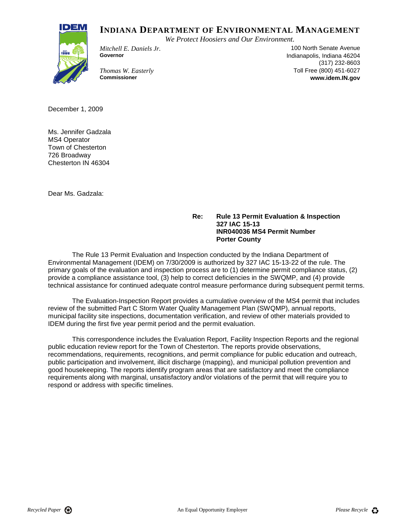## **INDIANA DEPARTMENT OF ENVIRONMENTAL MANAGEMENT**

*We Protect Hoosiers and Our Environment.*



*Mitchell E. Daniels Jr.* 100 North Senate Avenue **Governor** Indianapolis, Indiana 46204 (317) 232-8603 *Thomas W. Easterly* **Thomas W. Easterly The Example 2000** 151-6027<br> **Commissioner Commissioner The Example 2000 Commissioner WWW.idem.IN.gov Commissioner www.idem.IN.gov**

December 1, 2009

Ms. Jennifer Gadzala MS4 Operator Town of Chesterton 726 Broadway Chesterton IN 46304

Dear Ms. Gadzala:

## **Re: Rule 13 Permit Evaluation & Inspection 327 IAC 15-13 INR040036 MS4 Permit Number Porter County**

The Rule 13 Permit Evaluation and Inspection conducted by the Indiana Department of Environmental Management (IDEM) on 7/30/2009 is authorized by 327 IAC 15-13-22 of the rule. The primary goals of the evaluation and inspection process are to (1) determine permit compliance status, (2) provide a compliance assistance tool, (3) help to correct deficiencies in the SWQMP, and (4) provide technical assistance for continued adequate control measure performance during subsequent permit terms.

The Evaluation-Inspection Report provides a cumulative overview of the MS4 permit that includes review of the submitted Part C Storm Water Quality Management Plan (SWQMP), annual reports, municipal facility site inspections, documentation verification, and review of other materials provided to IDEM during the first five year permit period and the permit evaluation.

This correspondence includes the Evaluation Report, Facility Inspection Reports and the regional public education review report for the Town of Chesterton. The reports provide observations, recommendations, requirements, recognitions, and permit compliance for public education and outreach, public participation and involvement, illicit discharge (mapping), and municipal pollution prevention and good housekeeping. The reports identify program areas that are satisfactory and meet the compliance requirements along with marginal, unsatisfactory and/or violations of the permit that will require you to respond or address with specific timelines.